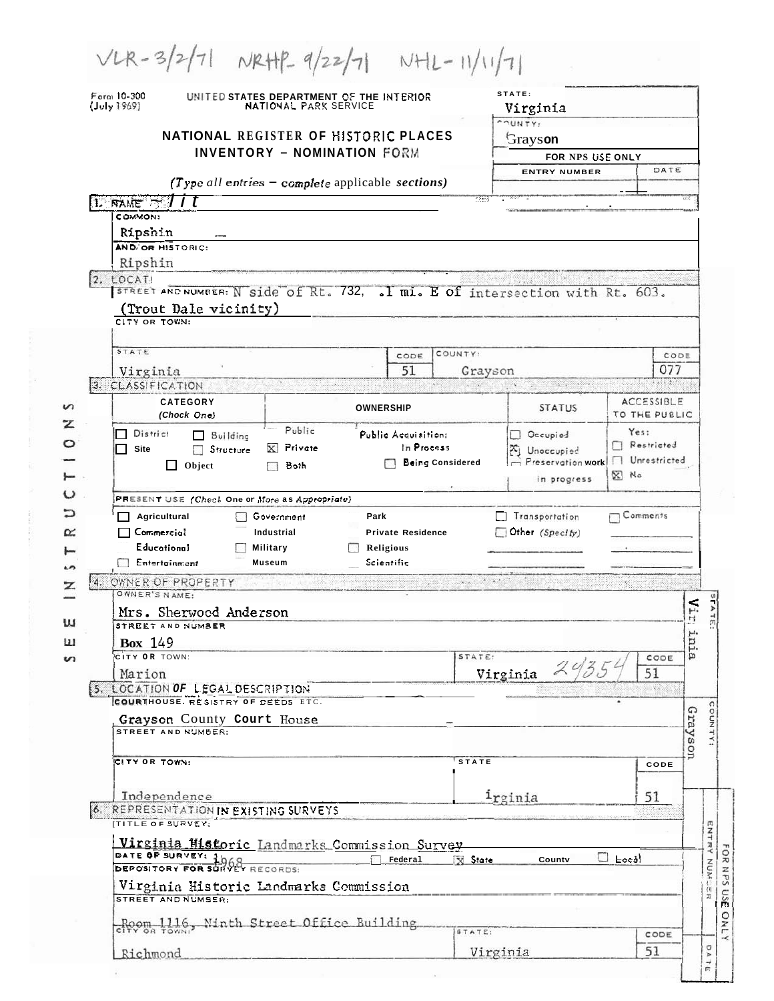| Form 10-300<br>(July 1969) |                                                      | UNITED STATES DEPARTMENT OF THE INTERIOR<br>NATIONAL PARK SERVICE             |                                        | STATE:<br>Virginia                       |                                                          |                   |  |
|----------------------------|------------------------------------------------------|-------------------------------------------------------------------------------|----------------------------------------|------------------------------------------|----------------------------------------------------------|-------------------|--|
|                            |                                                      |                                                                               | COUNTY:                                |                                          |                                                          |                   |  |
|                            |                                                      | NATIONAL REGISTER OF HISTORIC PLACES<br><b>INVENTORY - NOMINATION FORM</b>    |                                        | Grayson                                  |                                                          |                   |  |
|                            |                                                      |                                                                               |                                        | FOR NPS USE ONLY<br><b>ENTRY NUMBER</b>  |                                                          | DATE              |  |
|                            |                                                      | (Type all entries $-$ complete applicable sections)                           |                                        |                                          |                                                          |                   |  |
| $\ln$ mue $\sim$ 177       |                                                      |                                                                               | 1389                                   |                                          |                                                          |                   |  |
| COMMON:                    |                                                      |                                                                               |                                        |                                          |                                                          |                   |  |
| Ripshin                    |                                                      |                                                                               |                                        |                                          |                                                          |                   |  |
|                            | AND OR HISTORIC:                                     |                                                                               |                                        |                                          |                                                          |                   |  |
| Ripshin<br>2. LOCATI       |                                                      |                                                                               |                                        |                                          |                                                          |                   |  |
|                            |                                                      | STREET AND NUMBER: N side of Rt. 732, . I mi. E of intersection with Rt. 603. |                                        |                                          |                                                          |                   |  |
|                            | (Trout Dale vicinity)                                |                                                                               |                                        |                                          |                                                          |                   |  |
|                            | CITY OR TOWN:                                        |                                                                               |                                        |                                          |                                                          |                   |  |
| STATE                      |                                                      | CODE                                                                          | COUNTY:                                |                                          |                                                          | CODE              |  |
| Virginia                   |                                                      | 51                                                                            |                                        | Grayson                                  |                                                          | 077               |  |
| 3. CLASSIFICATION          |                                                      |                                                                               |                                        |                                          |                                                          |                   |  |
|                            | <b>CATEGORY</b>                                      | <b>OWNERSHIP</b>                                                              |                                        | <b>STATUS</b>                            |                                                          | <b>ACCESSIBLE</b> |  |
|                            | (Chock One)                                          |                                                                               |                                        |                                          |                                                          | TO THE PUBLIC     |  |
| District                   | Building<br>$\Box$                                   | Public<br>Public Acquisition:                                                 |                                        | Occupied                                 | Yes:                                                     | Restricted        |  |
| Site                       | Structure<br><b>All Street</b>                       | Private<br>$\mathbf{x}$                                                       | In Process<br><b>Being Considered</b>  | Unoccupied<br>Preservation work          |                                                          | Unrestricted      |  |
|                            | Object<br>ΙI                                         |                                                                               |                                        |                                          |                                                          |                   |  |
|                            |                                                      | Both                                                                          |                                        |                                          | $N$ No                                                   |                   |  |
|                            |                                                      |                                                                               |                                        | in progress                              |                                                          |                   |  |
|                            | PRESENT USE (Check One or More as Appropriate)       |                                                                               |                                        |                                          |                                                          |                   |  |
|                            | Agricultural<br>Commercial                           | Government<br>Park<br>Industrial<br><b>Private Residence</b>                  |                                        | <b>Transportation</b><br>Other (Specify) |                                                          | Comments          |  |
|                            | <b>Educational</b>                                   | <b>Military</b><br>Religious                                                  |                                        |                                          |                                                          |                   |  |
|                            | Entertainment                                        | Scientific<br><b>Museum</b>                                                   |                                        |                                          |                                                          |                   |  |
|                            | 4. OWNER OF PROPERTY                                 |                                                                               | $\mathbf{y} = \mathbf{y} + \mathbf{y}$ |                                          | $\mathbb{P}_{\mathcal{D}}\cap \mathcal{H}_{\mathcal{D}}$ |                   |  |
|                            | OWNER'S NAME:                                        |                                                                               |                                        |                                          |                                                          |                   |  |
|                            | Mrs. Sherwood Anderson                               |                                                                               |                                        |                                          |                                                          | $\overline{H}$    |  |
|                            | STREET AND NUMBER                                    |                                                                               |                                        |                                          |                                                          |                   |  |
| <b>Box</b> 149             | CITY OR TOWN:                                        |                                                                               | STATE:                                 |                                          |                                                          | inia<br>CODE      |  |
| Marion                     |                                                      |                                                                               |                                        |                                          |                                                          | 51                |  |
|                            | 5. LOCATION OF LEGAL DESCRIPTION                     |                                                                               |                                        | Virginia $2\%$                           |                                                          | 1.502             |  |
|                            | COURTHOUSE. RESISTRY OF DEEDS ETC.                   |                                                                               |                                        |                                          |                                                          |                   |  |
|                            | Grayson County Court House<br>STREET AND NUMBER:     |                                                                               |                                        |                                          |                                                          |                   |  |
|                            |                                                      |                                                                               |                                        |                                          |                                                          |                   |  |
|                            | CITY OR TOWN:                                        |                                                                               | <b>STATE</b>                           |                                          |                                                          | Grayson<br>CODE   |  |
|                            |                                                      |                                                                               |                                        |                                          |                                                          |                   |  |
|                            | Independence                                         |                                                                               |                                        | <sup>i</sup> rginia                      |                                                          | 51                |  |
|                            | <b>6. REPRESENTATION IN EXISTING SURVEYS</b>         |                                                                               |                                        |                                          |                                                          |                   |  |
|                            | <b>ITITLE OF SURVEY:</b>                             |                                                                               |                                        |                                          |                                                          |                   |  |
|                            |                                                      | Virginia Historic Landmarks Commission Survey                                 |                                        |                                          |                                                          |                   |  |
|                            | DATE OF SURVEY: 1h<br>DEPOSITORY FOR SURVEY RECORDS: | Federal                                                                       | <b>N</b> State                         | County                                   | $\Box$ Locd                                              |                   |  |
|                            |                                                      | Virginia Historic Landmarks Commission                                        |                                        |                                          |                                                          |                   |  |
|                            | STREET AND NUMSER:                                   |                                                                               |                                        |                                          |                                                          |                   |  |
|                            |                                                      | Room 1116, Ninth Street Office Building                                       | STATE:                                 |                                          |                                                          | CODE              |  |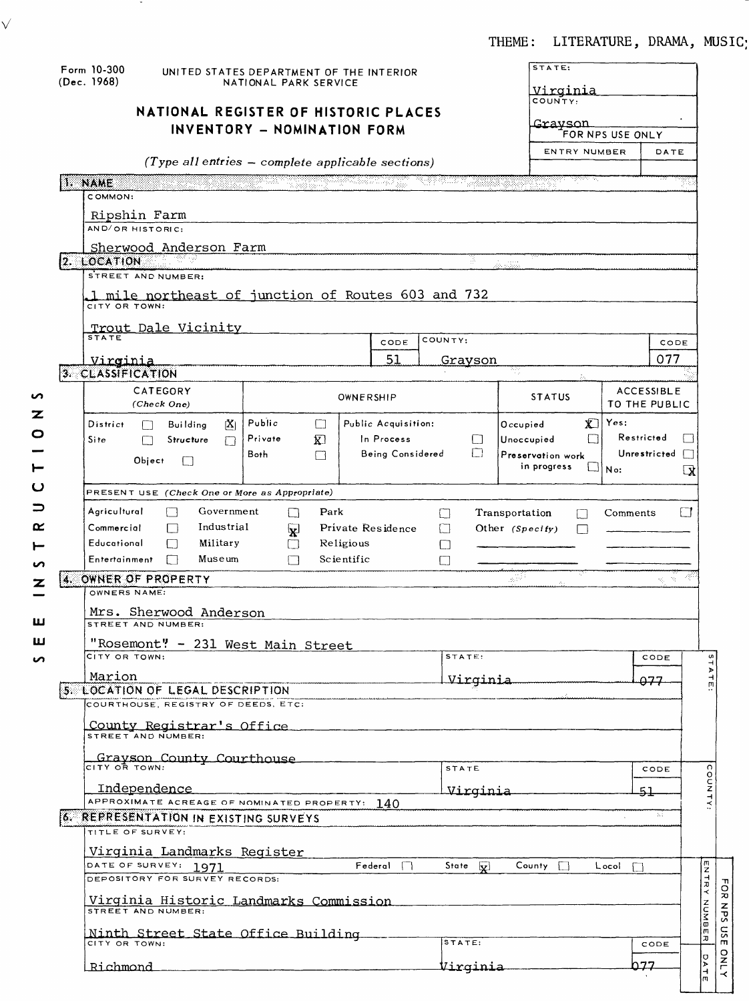# THEME: LITERATURE, DRAMA, MUSIC;

|             | Form 10-300                                                         | UNITED STATES DEPARTMENT OF THE INTERIOR              |                         |                     |                                    | STATE:                    |                  |                   |                                     |
|-------------|---------------------------------------------------------------------|-------------------------------------------------------|-------------------------|---------------------|------------------------------------|---------------------------|------------------|-------------------|-------------------------------------|
| (Dec. 1968) | NATIONAL PARK SERVICE                                               |                                                       | Virginia                |                     |                                    |                           |                  |                   |                                     |
|             | NATIONAL REGISTER OF HISTORIC PLACES                                |                                                       |                         |                     |                                    | COUNTY:                   |                  |                   |                                     |
|             |                                                                     |                                                       |                         |                     |                                    | <u>Gravson</u>            |                  |                   |                                     |
|             |                                                                     | INVENTORY - NOMINATION FORM                           |                         |                     |                                    |                           | FOR NPS USE ONLY |                   |                                     |
|             |                                                                     |                                                       |                         |                     |                                    | ENTRY NUMBER              |                  | DATE              |                                     |
|             |                                                                     | $(Type$ all entries $-$ complete applicable sections) |                         |                     |                                    |                           |                  |                   |                                     |
| 1. NAME     |                                                                     |                                                       |                         |                     | ومنافش والمستقلب المستنقد فالمراقب | पुरुषका पा                |                  |                   |                                     |
|             | COMMON:                                                             |                                                       |                         |                     |                                    |                           |                  |                   |                                     |
|             | Ripshin Farm                                                        |                                                       |                         |                     |                                    |                           |                  |                   |                                     |
|             | AND/OR HISTORIC:                                                    |                                                       |                         |                     |                                    |                           |                  |                   |                                     |
|             | Sherwood Anderson Farm                                              |                                                       |                         |                     |                                    |                           |                  |                   |                                     |
|             | 2. LOCATION 2018                                                    |                                                       |                         |                     | з.                                 |                           |                  |                   |                                     |
|             | STREET AND NUMBER:                                                  |                                                       |                         |                     |                                    |                           |                  |                   |                                     |
|             | 1 mile northeast of junction of Routes 603 and 732                  |                                                       |                         |                     |                                    |                           |                  |                   |                                     |
|             | CITY OR TOWN:                                                       |                                                       |                         |                     |                                    |                           |                  |                   |                                     |
|             | <u>Trout Dale Vicinity</u>                                          |                                                       |                         |                     |                                    |                           |                  |                   |                                     |
|             | <b>STATE</b>                                                        |                                                       |                         | CODE                | COUNTY:                            |                           |                  | CODE              |                                     |
|             | <u>Virginia</u>                                                     |                                                       |                         | 51                  | Grayson                            |                           |                  | 077               |                                     |
|             | 3. CLASSIFICATION                                                   |                                                       |                         |                     |                                    | ny.                       |                  |                   |                                     |
|             | CATEGORY                                                            |                                                       | OWNERSHIP               |                     |                                    | <b>STATUS</b>             |                  | <b>ACCESSIBLE</b> |                                     |
|             | (Check One)                                                         |                                                       |                         |                     |                                    |                           |                  | TO THE PUBLIC     |                                     |
|             | District<br><b>Building</b><br>ſΧΙ<br>LТ                            | Public<br>$\Box$                                      |                         | Public Acquisition: |                                    | X.<br>Occupied            | Yes:             |                   |                                     |
| Site        | Structure<br>┌┐<br>П                                                | Private<br><b>x</b>                                   |                         | In Process          | LI                                 | Unoccupied                |                  | Restricted        |                                     |
|             | Object                                                              | Both<br>П                                             |                         | Being Considered    | $\Box$                             | Preservation work         |                  | Unrestricted      |                                     |
|             |                                                                     |                                                       |                         |                     |                                    | in progress               | İN o:            |                   | $\mathbf{R}$                        |
|             | PRESENT USE (Check One or More as Appropriate)                      |                                                       |                         |                     |                                    |                           |                  |                   |                                     |
|             |                                                                     |                                                       |                         |                     |                                    |                           |                  |                   |                                     |
|             | Agricultural<br>Government<br>Industrial                            | Park<br>$\vert \ \ \vert$                             |                         |                     | $\perp$                            | Transportation<br>$\perp$ | Comments         |                   | ГТ                                  |
|             | Commercial<br>П<br>Educational<br>Military                          | ¥                                                     |                         | Private Residence   | $\Box$                             | Other (Specify)           |                  |                   |                                     |
|             | Museum<br>Entertainment<br>$\Box$                                   | П<br>П                                                | Religious<br>Scientific |                     | U                                  |                           |                  |                   |                                     |
|             |                                                                     |                                                       |                         |                     | П                                  |                           |                  |                   |                                     |
|             | 4. OWNER OF PROPERTY<br>OWNERS NAME:                                |                                                       |                         |                     |                                    | . a 193                   |                  |                   |                                     |
|             |                                                                     |                                                       |                         |                     |                                    |                           |                  |                   |                                     |
|             | Mrs. Sherwood Anderson<br>STREET AND NUMBER:                        |                                                       |                         |                     |                                    |                           |                  |                   |                                     |
|             |                                                                     |                                                       |                         |                     |                                    |                           |                  |                   |                                     |
|             | "Rosemont" - 231 West Main Street<br>CITY OR TOWN:                  |                                                       |                         |                     | STATE:                             |                           |                  | CODE              |                                     |
|             |                                                                     |                                                       |                         |                     |                                    |                           |                  |                   |                                     |
|             | Marion<br>5. LOCATION OF LEGAL DESCRIPTION                          |                                                       |                         |                     |                                    |                           |                  | 277               |                                     |
|             |                                                                     |                                                       |                         |                     | <u>Virginia</u>                    |                           |                  |                   |                                     |
|             | COURTHOUSE, REGISTRY OF DEEDS, ETC:                                 |                                                       |                         |                     |                                    |                           |                  |                   |                                     |
|             |                                                                     |                                                       |                         |                     |                                    |                           |                  |                   |                                     |
|             | County Registrar's Office<br>STREET AND NUMBER:                     |                                                       |                         |                     |                                    |                           |                  |                   |                                     |
|             |                                                                     |                                                       |                         |                     |                                    |                           |                  |                   |                                     |
|             | Grayson County Courthouse                                           |                                                       |                         |                     | STATE                              |                           |                  | CODE              |                                     |
|             |                                                                     |                                                       |                         |                     |                                    |                           |                  |                   |                                     |
|             | Independence                                                        |                                                       |                         |                     | <u>Virginia</u>                    |                           |                  | 51                |                                     |
|             | APPROXIMATE ACREAGE OF NOMINATED PROPERTY: $140$                    |                                                       |                         |                     |                                    |                           |                  | Ъż                |                                     |
|             | <b>6. REPRESENTATION IN EXISTING SURVEYS</b><br>TITLE OF SURVEY:    |                                                       |                         |                     |                                    |                           |                  |                   |                                     |
|             |                                                                     |                                                       |                         |                     |                                    |                           |                  |                   |                                     |
|             | Virginia Landmarks Register                                         |                                                       |                         | $Federal$ $\Box$    |                                    | County $\Box$             | Locol<br>П       |                   |                                     |
|             | DATE OF SURVEY: 1971<br>DEPOSITORY FOR SURVEY RECORDS:              |                                                       |                         |                     | State V                            |                           |                  |                   |                                     |
|             | <u>Virginia Historic Landmarks Commission</u><br>STREET AND NUMBER: |                                                       |                         |                     |                                    |                           |                  |                   |                                     |
|             | Ninth Street State Office Building                                  |                                                       |                         |                     |                                    |                           |                  |                   |                                     |
|             | CITY OR TOWN:                                                       |                                                       |                         |                     | STATE:                             |                           |                  | CODE<br>p. 77     | ENTRY<br>awnn<br>W<br>$\pi$<br>DATE |

- 3

 $\sqrt{ }$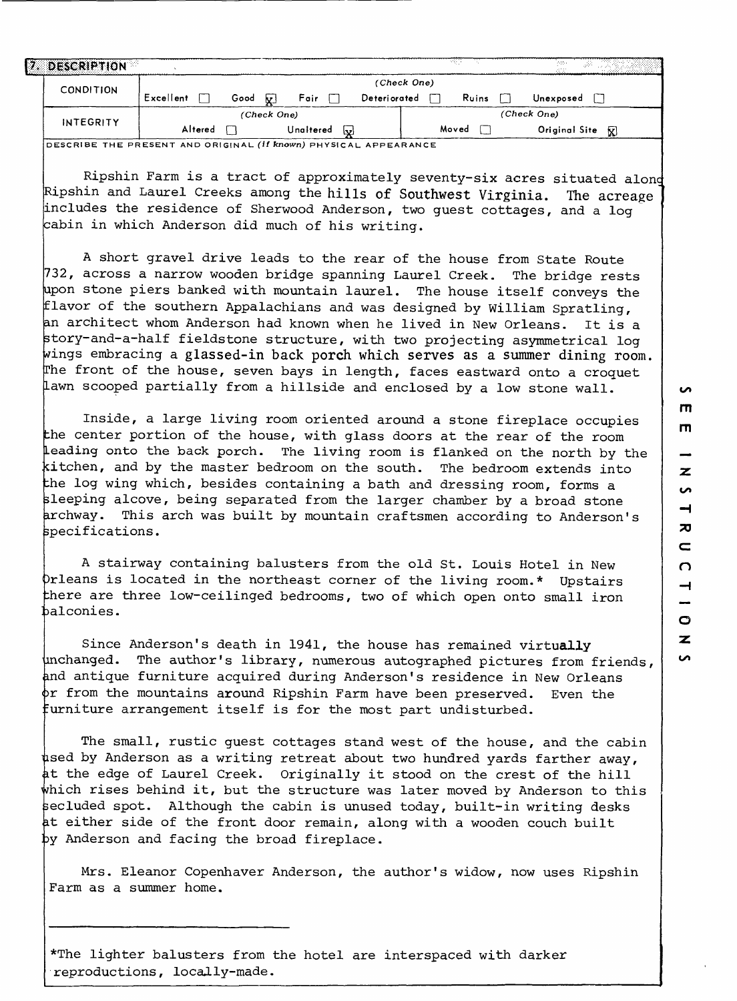| $\mathbb{Z}$ | DESCRIPTION      |           |      |             |      |              |             | ल्हा  | 1000<br>Os As      |
|--------------|------------------|-----------|------|-------------|------|--------------|-------------|-------|--------------------|
|              | <b>CONDITION</b> |           |      |             |      |              | (Check One) |       |                    |
|              |                  | Excellent | Good | Fair<br>ΔŁ. |      | Deteriorated |             | Ruins | Unexposed          |
|              |                  |           |      | (Check One) |      |              |             |       | (Check One)        |
|              | INTEGRITY        | Altered   |      | Unaltered   | احدا |              |             | Moved | Original Site<br>R |

i? DESCRIBE THE PRESENT AND ORIGINAL (If **known)** PHYSICAL APPEARANCE

Ripshin Farm is a tract of approximately seventy-six acres situated alone Ripshin and Laurel Creeks among the hills of Southwest Virginia. The acreage includes the residence of Sherwood Anderson, two guest cottages, and a log iabin in which Anderson did much of his writing.

A short gravel drive leads to the rear of the house from State Route 732, across a narrow wooden bridge spanning Laurel Creek. The bridge rests upon stone piers banked with mountain laurel. The house itself conveys the flavor of the southern Appalachians and was designed by William Spratling, an architect whom Anderson had known when he lived in New Orleans. It is a story-and-a-half fieldstone structure, with two projecting asymmetrical log wings embracing a glassed-in back porch which serves as a summer dining room. The front of the house, seven bays in length, faces eastward onto a croquet Lawn scooped partially from a hillside and enclosed by a low stone wall.

Inside, a large living room oriented around a stone fireplace occupies the center portion of the house, with glass doors at the rear of the room Leading onto the back porch. The living room is flanked on the north by the kitchen, and by the master bedroom on the south. The bedroom extends into the log wing which, besides containing a bath and dressing room, forms a sleeping alcove, being separated from the larger chamber by a broad stone archway. This arch was built by mountain craftsmen according to Anderson's specifications.

A stairway containing balusters from the old St. Louis Hotel in New )rleans is located in the northeast corner of the living room.\* Upstairs there are three low-ceilinged bedrooms, two of which open onto small iron balconies.

Since Anderson's death in 1941, the house has remained virtually inchanged. The author's library, numerous autographed pictures from friends, and antique furniture acquired during Anderson's residence in New Orleans >r from the mountains around Ripshin Farm have been preserved. Even the furniture arrangement itself is for the most part undisturbed.

The small, rustic guest cottages stand west of the house, and the cabin used by Anderson as a writing retreat about two hundred yards farther away, at the edge of Laurel Creek. Originally it stood on the crest of the hill which rises behind it, but the structure was later moved by Anderson to this secluded spot. Although the cabin is unused today, built-in writing desks it either side of the front door remain, along with a wooden couch built by Anderson and facing the broad fireplace.

Mrs. Eleanor Copenhaver Anderson, the author's widow, now uses Ripshin Farm as a summer home.

\*The lighter balusters from the hotel are interspaced with darker reproductions, locally-made.

**in**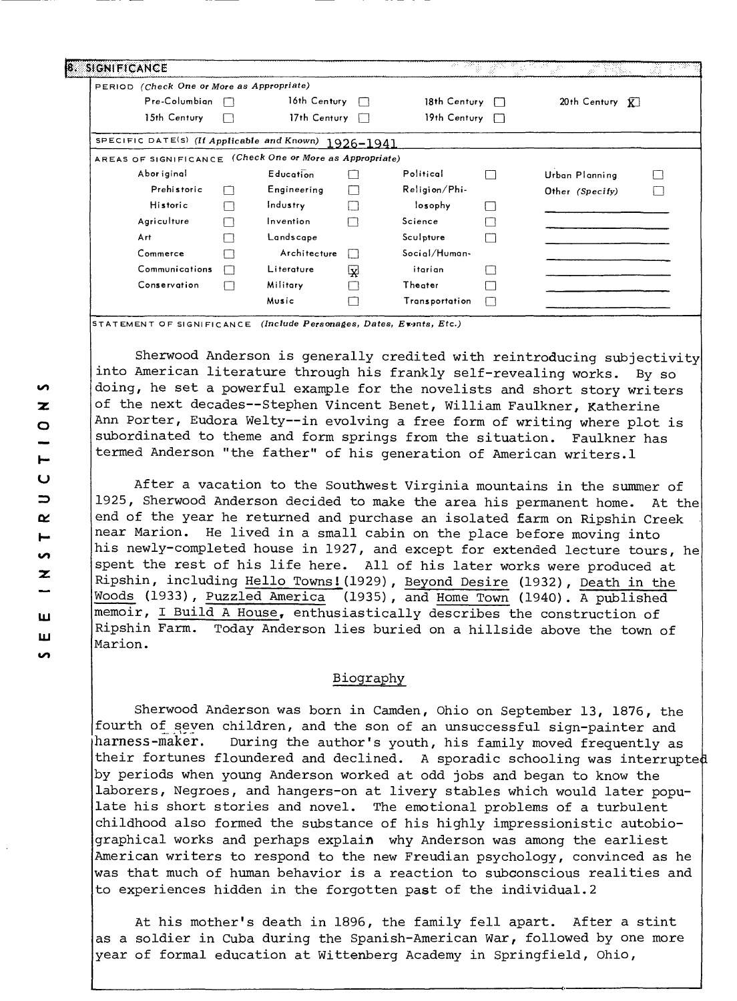| PERIOD (Check One or More as Appropriate)                |              |                     |        |                       |                               |  |
|----------------------------------------------------------|--------------|---------------------|--------|-----------------------|-------------------------------|--|
| Pre-Columbian                                            |              | 16th Century        | $\Box$ | 18th Century $\Box$   | $20th$ Century $\overline{K}$ |  |
| 15th Century                                             |              | 17th Century $\Box$ |        | 19th Century $\Box$   |                               |  |
| SPECIFIC DATE(S) (If Applicable and Known) 1926-1941     |              |                     |        |                       |                               |  |
| AREAS OF SIGNIFICANCE (Check One or More as Appropriate) |              |                     |        |                       |                               |  |
| Abor iginal                                              |              | Education           |        | Political             | Urban Planning                |  |
| Prehistoric                                              | $\mathbf{1}$ | Engineering         | I.     | Religion/Phi-         | Other (Specify)               |  |
| Historic                                                 | г            | Industry            |        | losophy               |                               |  |
| Agriculture                                              |              | Invention           |        | Science               |                               |  |
| Art                                                      |              | Landscape           |        | Sculpture             |                               |  |
| Commerce                                                 |              | Architecture        |        | Social/Human-         |                               |  |
| Communications                                           |              | Literature          | 덪      | itarian               |                               |  |
| Conservation                                             |              | Military            |        | Theater               |                               |  |
|                                                          |              | Music               |        | <b>Transportation</b> |                               |  |

STATEMENT OF SIGNIFICANCE (Include **Personages, Dates,** Ev-mts, Etc.)

Sherwood Anderson is generally credited with reintroducing subjectivity into American literature through his frankly self-revealing works. By so doing, he set a powerful example for the novelists and short story writers of the next decades--Stephen Vincent Benet, William Faulkner, Katherine Ann Porter, Eudora Welty--in evolving a free form of writing where plot is subordinated to theme and form springs from the situation. Faulkner has termed Anderson "the father" of his generation of American writers.1

After a vacation to the Southwest Virginia mountains in the summer of 1925, Sherwood Anderson decided to make the area his permanent home. At the end of the year he returned and purchase an isolated farm on Ripshin Creek near Marion. He lived in a small cabin on the place before moving into his newly-completed house in 1927, and except for extended lecture tours, he spent the rest of his life here. All of his later works were produced at Ripshin, including Hello Towns! (1929), Beyond Desire (1932), Death in the Woods (1933), Puzzled America (1935), and Home Town (1940). A published  $(1935)$ , and Home Town (1940). A published memoir, I Build A House, enthusiastically describes the construction of Ripshin Farm. Today Anderson lies buried on a hillside above the town of Marion.

### Biography

Sherwood Anderson was born in Camden, Ohio on September 13, 1876, the fourth of seven children, and the son of an unsuccessful sign-painter and harness-maker. During the author's youth, his family moved frequently as their fortunes floundered and declined. A sporadic schooling was interrupted by periods when young Anderson worked at odd jobs and began to know the laborers, Negroes, and hangers-on at livery stables which would later populate his short stories and novel. The emotional problems of a turbulent childhood also formed the substance of his highly impressionistic autobiographical works and perhaps explain why Anderson was among the earliest American writers to respond to the new Freudian psychology, convinced as he was that much of human behavior is a reaction to subconscious realities and to experiences hidden in the forgotten past of the individual.2

At his mother's death in 1896, the family fell apart. After a stint as a soldier in Cuba during the Spanish-American War, followed by one more year of formal education at Wittenberg Academy in Springfield, Ohio,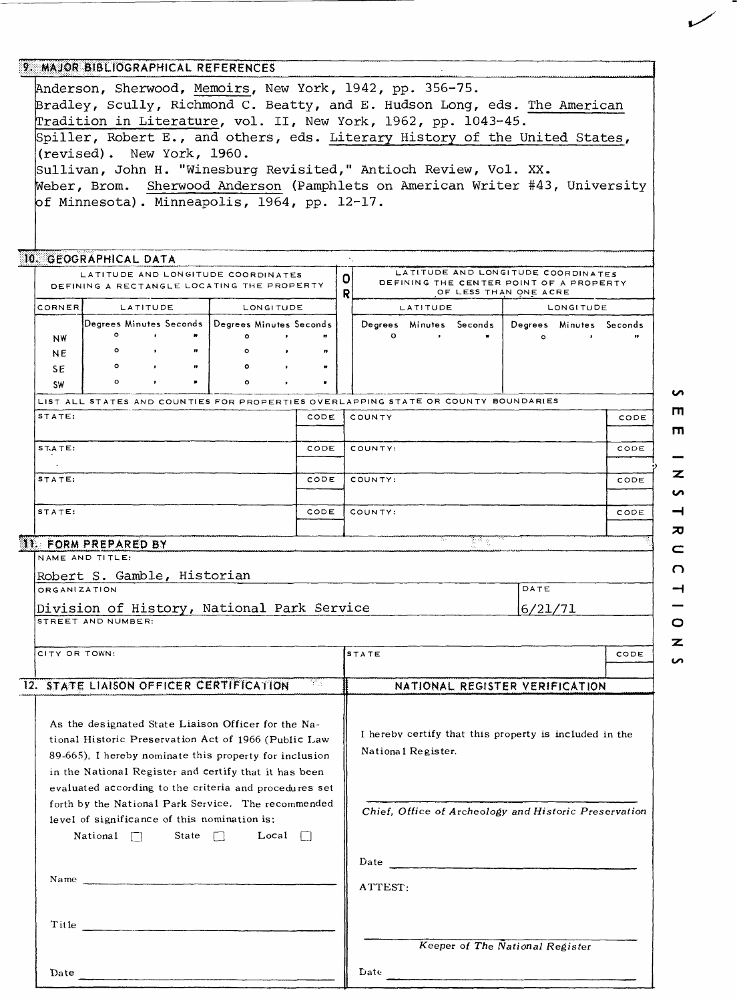|                     | 9. MAJOR BIBLIOGRAPHICAL REFERENCES                                                                                                                                                                                                                                                                                                                                                                           |                          |              |   |              |      |   |                    |           |      |                                                                               |           |      |
|---------------------|---------------------------------------------------------------------------------------------------------------------------------------------------------------------------------------------------------------------------------------------------------------------------------------------------------------------------------------------------------------------------------------------------------------|--------------------------|--------------|---|--------------|------|---|--------------------|-----------|------|-------------------------------------------------------------------------------|-----------|------|
|                     | Anderson, Sherwood, Memoirs, New York, 1942, pp. 356-75.                                                                                                                                                                                                                                                                                                                                                      |                          |              |   |              |      |   |                    |           |      |                                                                               |           |      |
|                     | Bradley, Scully, Richmond C. Beatty, and E. Hudson Long, eds. The American                                                                                                                                                                                                                                                                                                                                    |                          |              |   |              |      |   |                    |           |      |                                                                               |           |      |
|                     | Tradition in Literature, vol. II, New York, 1962, pp. 1043-45.                                                                                                                                                                                                                                                                                                                                                |                          |              |   |              |      |   |                    |           |      |                                                                               |           |      |
|                     | Spiller, Robert E., and others, eds. Literary History of the United States,                                                                                                                                                                                                                                                                                                                                   |                          |              |   |              |      |   |                    |           |      |                                                                               |           |      |
|                     |                                                                                                                                                                                                                                                                                                                                                                                                               |                          |              |   |              |      |   |                    |           |      |                                                                               |           |      |
|                     | (revised). New York, 1960.                                                                                                                                                                                                                                                                                                                                                                                    |                          |              |   |              |      |   |                    |           |      |                                                                               |           |      |
|                     | Sullivan, John H. "Winesburg Revisited," Antioch Review, Vol. XX.                                                                                                                                                                                                                                                                                                                                             |                          |              |   |              |      |   |                    |           |      |                                                                               |           |      |
|                     | Weber, Brom. Sherwood Anderson (Pamphlets on American Writer #43, University                                                                                                                                                                                                                                                                                                                                  |                          |              |   |              |      |   |                    |           |      |                                                                               |           |      |
|                     | of Minnesota). Minneapolis, 1964, pp. 12-17.                                                                                                                                                                                                                                                                                                                                                                  |                          |              |   |              |      |   |                    |           |      |                                                                               |           |      |
|                     |                                                                                                                                                                                                                                                                                                                                                                                                               |                          |              |   |              |      |   |                    |           |      |                                                                               |           |      |
|                     |                                                                                                                                                                                                                                                                                                                                                                                                               |                          |              |   |              |      |   |                    |           |      |                                                                               |           |      |
|                     |                                                                                                                                                                                                                                                                                                                                                                                                               |                          |              |   |              |      |   |                    |           |      |                                                                               |           |      |
|                     | 10. GEOGRAPHICAL DATA                                                                                                                                                                                                                                                                                                                                                                                         |                          |              |   |              |      |   |                    |           |      |                                                                               |           |      |
|                     | LATITUDE AND LONGITUDE COORDINATES                                                                                                                                                                                                                                                                                                                                                                            |                          |              |   |              |      | 이 |                    |           |      | LATITUDE AND LONGITUDE COORDINATES<br>DEFINING THE CENTER POINT OF A PROPERTY |           |      |
|                     | DEFINING A RECTANGLE LOCATING THE PROPERTY                                                                                                                                                                                                                                                                                                                                                                    |                          |              |   |              |      | R |                    |           |      | OF LESS THAN ONE ACRE                                                         |           |      |
| CORNER              |                                                                                                                                                                                                                                                                                                                                                                                                               | LATITUDE                 |              |   | LONGITUDE    |      |   |                    | LATITUDE  |      |                                                                               | LONGITUDE |      |
|                     | Degrees Minutes Seconds   Degrees Minutes Seconds                                                                                                                                                                                                                                                                                                                                                             |                          |              |   |              |      |   |                    |           |      | Degrees Minutes Seconds   Degrees Minutes Seconds                             |           |      |
| <b>NW</b>           | $\circ$                                                                                                                                                                                                                                                                                                                                                                                                       |                          |              |   | $\bullet$    |      |   | $\circ$            | $\bullet$ |      | $\bullet$                                                                     |           |      |
| <b>NE</b>           | $\circ$                                                                                                                                                                                                                                                                                                                                                                                                       | $\sim$                   |              |   |              |      |   |                    |           |      |                                                                               |           |      |
| SE.                 | $\circ$                                                                                                                                                                                                                                                                                                                                                                                                       | $\overline{\phantom{a}}$ | $\mathbf{r}$ | ۰ | $\bullet$    |      |   |                    |           |      |                                                                               |           |      |
| <b>SW</b>           | $\Omega$                                                                                                                                                                                                                                                                                                                                                                                                      |                          |              |   |              |      |   |                    |           |      |                                                                               |           |      |
|                     |                                                                                                                                                                                                                                                                                                                                                                                                               |                          |              |   |              |      |   |                    |           |      |                                                                               |           |      |
| STATE:              | LIST ALL STATES AND COUNTIES FOR PROPERTIES OVERLAPPING STATE OR COUNTY BOUNDARIES                                                                                                                                                                                                                                                                                                                            |                          |              |   |              |      |   |                    |           |      |                                                                               |           |      |
|                     |                                                                                                                                                                                                                                                                                                                                                                                                               |                          |              |   |              | CODE |   | COUNTY             |           |      |                                                                               |           | CODE |
|                     |                                                                                                                                                                                                                                                                                                                                                                                                               |                          |              |   |              |      |   |                    |           |      |                                                                               |           |      |
| $ST.ATE$ :          |                                                                                                                                                                                                                                                                                                                                                                                                               |                          |              |   |              | CODE |   | COUNTY:            |           |      |                                                                               |           | CODE |
|                     |                                                                                                                                                                                                                                                                                                                                                                                                               |                          |              |   |              |      |   |                    |           |      |                                                                               |           |      |
| STATE:              |                                                                                                                                                                                                                                                                                                                                                                                                               |                          |              |   |              | CODE |   | COUNTY:            |           |      |                                                                               |           | CODE |
|                     |                                                                                                                                                                                                                                                                                                                                                                                                               |                          |              |   |              |      |   |                    |           |      |                                                                               |           |      |
| STATE:              |                                                                                                                                                                                                                                                                                                                                                                                                               |                          |              |   |              | CODE |   | COUNTY:            |           |      |                                                                               |           | CODE |
|                     |                                                                                                                                                                                                                                                                                                                                                                                                               |                          |              |   |              |      |   |                    |           |      |                                                                               |           |      |
|                     | <b>11. FORM PREPARED BY</b>                                                                                                                                                                                                                                                                                                                                                                                   |                          |              |   |              |      |   |                    |           | 80 g |                                                                               |           |      |
|                     | NAME AND TITLE:                                                                                                                                                                                                                                                                                                                                                                                               |                          |              |   |              |      |   |                    |           |      |                                                                               |           |      |
|                     | Robert S. Gamble, Historian                                                                                                                                                                                                                                                                                                                                                                                   |                          |              |   |              |      |   |                    |           |      |                                                                               |           |      |
| <b>ORGANIZATION</b> |                                                                                                                                                                                                                                                                                                                                                                                                               |                          |              |   |              |      |   |                    |           |      | DATE                                                                          |           |      |
|                     | Division of History, National Park Service                                                                                                                                                                                                                                                                                                                                                                    |                          |              |   |              |      |   |                    |           |      |                                                                               |           |      |
|                     | STREET AND NUMBER:                                                                                                                                                                                                                                                                                                                                                                                            |                          |              |   |              |      |   |                    |           |      | 6/21/71                                                                       |           |      |
|                     |                                                                                                                                                                                                                                                                                                                                                                                                               |                          |              |   |              |      |   |                    |           |      |                                                                               |           |      |
| CITY OR TOWN:       |                                                                                                                                                                                                                                                                                                                                                                                                               |                          |              |   |              |      |   |                    |           |      |                                                                               |           |      |
|                     |                                                                                                                                                                                                                                                                                                                                                                                                               |                          |              |   |              |      |   | <b>STATE</b>       |           |      |                                                                               |           | CODE |
|                     |                                                                                                                                                                                                                                                                                                                                                                                                               |                          |              |   |              |      |   |                    |           |      |                                                                               |           |      |
|                     | 12. STATE LIAISON OFFICER CERTIFICATION                                                                                                                                                                                                                                                                                                                                                                       |                          |              |   |              | 75.  |   |                    |           |      | NATIONAL REGISTER VERIFICATION                                                |           |      |
|                     |                                                                                                                                                                                                                                                                                                                                                                                                               |                          |              |   |              |      |   |                    |           |      |                                                                               |           |      |
|                     | As the designated State Liaison Officer for the Na-                                                                                                                                                                                                                                                                                                                                                           |                          |              |   |              |      |   |                    |           |      |                                                                               |           |      |
|                     | tional Historic Preservation Act of 1966 (Public Law                                                                                                                                                                                                                                                                                                                                                          |                          |              |   |              |      |   |                    |           |      | I hereby certify that this property is included in the                        |           |      |
|                     | 89-665). I hereby nominate this property for inclusion                                                                                                                                                                                                                                                                                                                                                        |                          |              |   |              |      |   | National Register. |           |      |                                                                               |           |      |
|                     |                                                                                                                                                                                                                                                                                                                                                                                                               |                          |              |   |              |      |   |                    |           |      |                                                                               |           |      |
|                     | in the National Register and certify that it has been                                                                                                                                                                                                                                                                                                                                                         |                          |              |   |              |      |   |                    |           |      |                                                                               |           |      |
|                     | evaluated according to the criteria and procedures set                                                                                                                                                                                                                                                                                                                                                        |                          |              |   |              |      |   |                    |           |      |                                                                               |           |      |
|                     | forth by the National Park Service. The recommended                                                                                                                                                                                                                                                                                                                                                           |                          |              |   |              |      |   |                    |           |      | Chief, Office of Archeology and Historic Preservation                         |           |      |
|                     | level of significance of this nomination is:                                                                                                                                                                                                                                                                                                                                                                  |                          |              |   |              |      |   |                    |           |      |                                                                               |           |      |
|                     | National $\Box$                                                                                                                                                                                                                                                                                                                                                                                               |                          | State $\Box$ |   | Local $\Box$ |      |   |                    |           |      |                                                                               |           |      |
|                     |                                                                                                                                                                                                                                                                                                                                                                                                               |                          |              |   |              |      |   |                    |           |      |                                                                               |           |      |
|                     |                                                                                                                                                                                                                                                                                                                                                                                                               |                          |              |   |              |      |   |                    |           |      |                                                                               |           |      |
|                     | Name $\frac{1}{\sqrt{1-\frac{1}{2}}\sqrt{1-\frac{1}{2}}\sqrt{1-\frac{1}{2}}\sqrt{1-\frac{1}{2}}\sqrt{1-\frac{1}{2}}\sqrt{1-\frac{1}{2}}\sqrt{1-\frac{1}{2}}\sqrt{1-\frac{1}{2}}\sqrt{1-\frac{1}{2}}\sqrt{1-\frac{1}{2}}\sqrt{1-\frac{1}{2}}\sqrt{1-\frac{1}{2}}\sqrt{1-\frac{1}{2}}\sqrt{1-\frac{1}{2}}\sqrt{1-\frac{1}{2}}\sqrt{1-\frac{1}{2}}\sqrt{1-\frac{1}{2}}\sqrt{1-\frac{1}{2}}\sqrt{1-\frac{1}{2}}\$ |                          |              |   |              |      |   |                    |           |      |                                                                               |           |      |
|                     |                                                                                                                                                                                                                                                                                                                                                                                                               |                          |              |   |              |      |   | ATTEST:            |           |      |                                                                               |           |      |
|                     |                                                                                                                                                                                                                                                                                                                                                                                                               |                          |              |   |              |      |   |                    |           |      |                                                                               |           |      |
|                     | Title                                                                                                                                                                                                                                                                                                                                                                                                         |                          |              |   |              |      |   |                    |           |      |                                                                               |           |      |
|                     |                                                                                                                                                                                                                                                                                                                                                                                                               |                          |              |   |              |      |   |                    |           |      | Keeper of The National Register                                               |           |      |
|                     |                                                                                                                                                                                                                                                                                                                                                                                                               |                          |              |   |              |      |   |                    |           |      |                                                                               |           |      |
| Date                |                                                                                                                                                                                                                                                                                                                                                                                                               |                          |              |   |              |      |   | Date               |           |      |                                                                               |           |      |
|                     |                                                                                                                                                                                                                                                                                                                                                                                                               |                          |              |   |              |      |   |                    |           |      |                                                                               |           |      |

**rn** - $\overline{\mathbf{z}}$  $\overline{a}$  $\overline{\phantom{0}}$  $\overline{\mathbf{x}}$  $\subset$  $\Omega$  $\rightarrow$  $\qquad \qquad$  $\circ$  $\overline{\mathbf{z}}$  $\overline{v}$ 

**rn** 

 $\mathbf{v}$ 

سمسه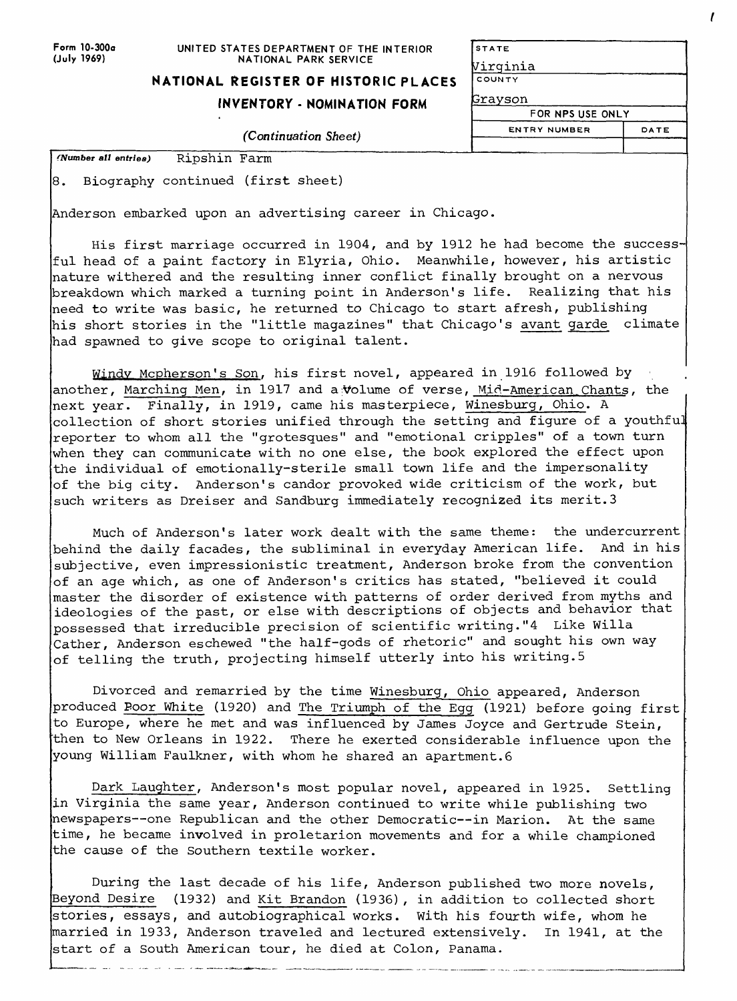| Form 10-300a |
|--------------|
| (July 1969)  |

#### **UNITED STATES DEPARTMENT OF THE INTERIOR NATIONAL PARK SERVICE**

## **NATIONAL REGISTER OF HISTORIC PLACES**

## **INVENTORY - NOMINATION FORM**

#### *(Continuation Sheet)*

| <b>STATE</b>     |      |
|------------------|------|
| Virginia         |      |
| COUNTY           |      |
| <b>Grayson</b>   |      |
| FOR NPS USE ONLY |      |
| ENTRY NUMBER     | DATE |

**dumber** *all entries)* Ripshin Farm

3. Biography continued (first sheet)

Anderson embarked upon an advertising career in Chicago.

His first marriage occurred in 1904, and by 1912 he had become the successful head of a paint factory in Elyria, Ohio. Meanwhile, however, his artistic nature withered and the resulting inner conflict finally brought on a nervous breakdown which marked a turning point in Anderson's life. Realizing that his need to write was basic, he returned to Chicago to start afresh, publishing his short stories in the "little magazines" that Chicago's avant garde climate had spawned to give scope to original talent.

Windv Mcpherson's Son. his first novel, appeared in 1916 followed by another, Marching Men, in 1917 and a: volume of verse, Mid-American Chants, the next year. Finally, in 1919, came his masterpiece, Winesburg, Ohio. A collection of short stories unified through the setting and figure of a youthful reporter to whom all the "grotesques" and "emotional cripples" of a town turn when they can communicate with no one else, the book explored the effect upon the individual of emotionally-sterile small town life and the impersonality of the big city. Anderson's candor provoked wide criticism of the work, but such writers as Dreiser and Sandburg immediately recognized its merit.3

Much of Anderson's later work dealt with the same theme: the undercurrent behind the daily facades, the subliminal in everyday American life. And in his subjective, even impressionistic treatment, Anderson broke from the convention of an age which, as one of Anderson's critics has stated, "believed it could master the disorder of existence with patterns of order derived from myths and ideologies of the past, or else with descriptions of objects and behavior that possessed that irreducible precision of scientific writing."4 Like Willa -<br>Cather, Anderson eschewed "the half-gods of rhetoric" and sought his own way of telling the truth, projecting himself utterly into his writing.5

Divorced and remarried by the time Winesburg, Ohio appeared, Anderson produced Boor White (1920) and The Triumph of the Egg (1921) before going first to Europe, where he met and was influenced by James Joyce and Gertrude Stein, then to New Orleans in 1922. There he exerted considerable influence upon the young William Faulkner, with whom he shared an apartment.6

Dark Laughter, Anderson's most popular novel, appeared in 1925. Settling in Virginia the same year, Anderson continued to write while publishing two newspapers--one Republican and the other Democratic--in Marion. At the same time, he became involved in proletarion movements and for a while championed the cause of the Southern textile worker.

During the last decade of his life, Anderson published two more novels, Beyond Desire (1932) and Kit Brandon (1936), in addition to collected short stories, essays, and autobiographical works. With his fourth wife, whom he married in 1933, Anderson traveled and lectured extensively. In 1941, at the start of a South American tour, he died at Colon, Panama.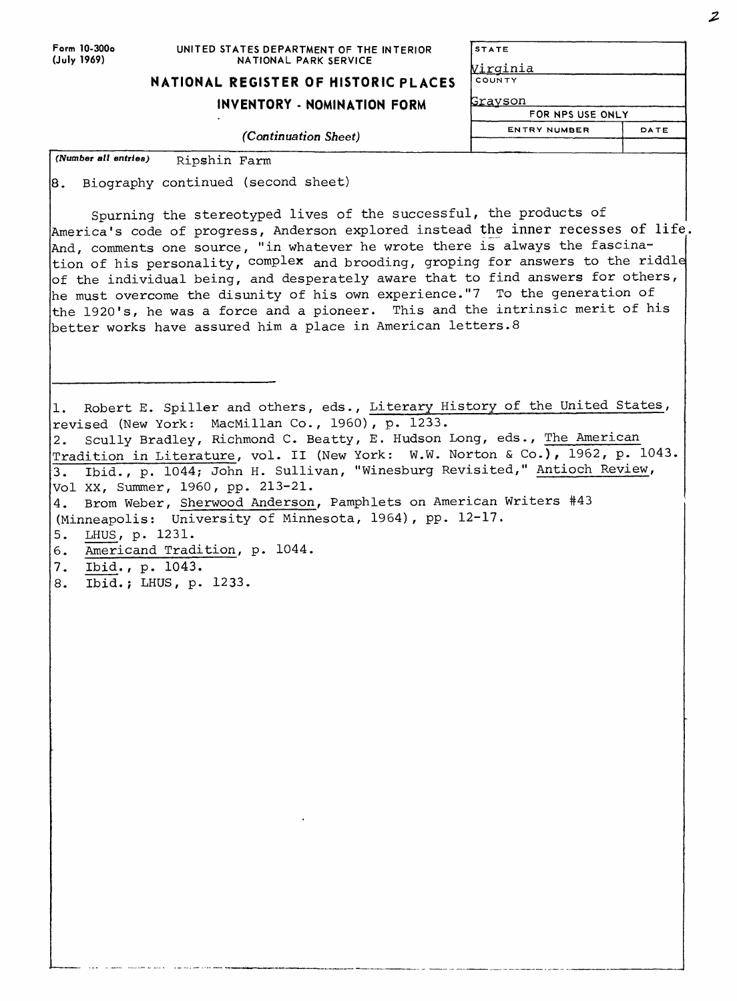| Form 10-300o |
|--------------|
| (July 1969)  |

#### **UNITED STATES DEPARTMENT OF THE INTERIOR NATIONAL PARK SERVICE**

| NATIONAL REGISTER OF HISTORIC PLACES |  |  |
|--------------------------------------|--|--|
|                                      |  |  |

## **INVENTORY - NOMINATION FORM**

*(Continuation Sheet)*

| <b>STATE</b>     |      |
|------------------|------|
| <u>Virginia</u>  |      |
| COUNTY           |      |
| Grayson          |      |
| FOR NPS USE ONLY |      |
| ENTRY NUMBER     | DATE |
|                  |      |

*(Number all entries)* Ripshin Farm

8. Biography continued (second sheet)

Spurning the stereotyped lives of the successful, the products of America's code of progress, Anderson explored instead the inner recesses of life. And, comments one source, "in whatever he wrote there is always the fascination of his personality, complex and brooding, groping for answers to the riddle  $\sigma$  of the individual being, and desperately aware that to find answers for others, he must overcome the disunity of his own experience."7 To the generation of the 1920's, he was a force and a pioneer. This and the intrinsic merit of his better works have assured him a place in American letters.8

1. Robert E. Spiller and others, eds., Literary History of the United States, revised (New York: MacMillan Co., 1960), p. 1233. 2. Scully Bradley, Richmond C. Beatty, E. Hudson Long, eds., The American Tradition in Literature, vol. II (New York: W.W. Norton & Co.), 1962, p. 1043. 3. Ibid., p. 1044; John H. Sullivan, "Winesburg Revisited," Antioch Review, Vol XX, Summer, 1960, pp. 213-21. 4. Brom Weber, Sherwood Anderson, Pamphlets on American Writers #43 (Minneapolis: University of Minnesota, 1964), pp. 12-17. 5. LHUS, p. 1231. Americand Tradition, p, 1044. Ibid., p. 1043. 6. 7.

Ibid.; LHUS, p, 1233.8.

 $\boldsymbol{z}$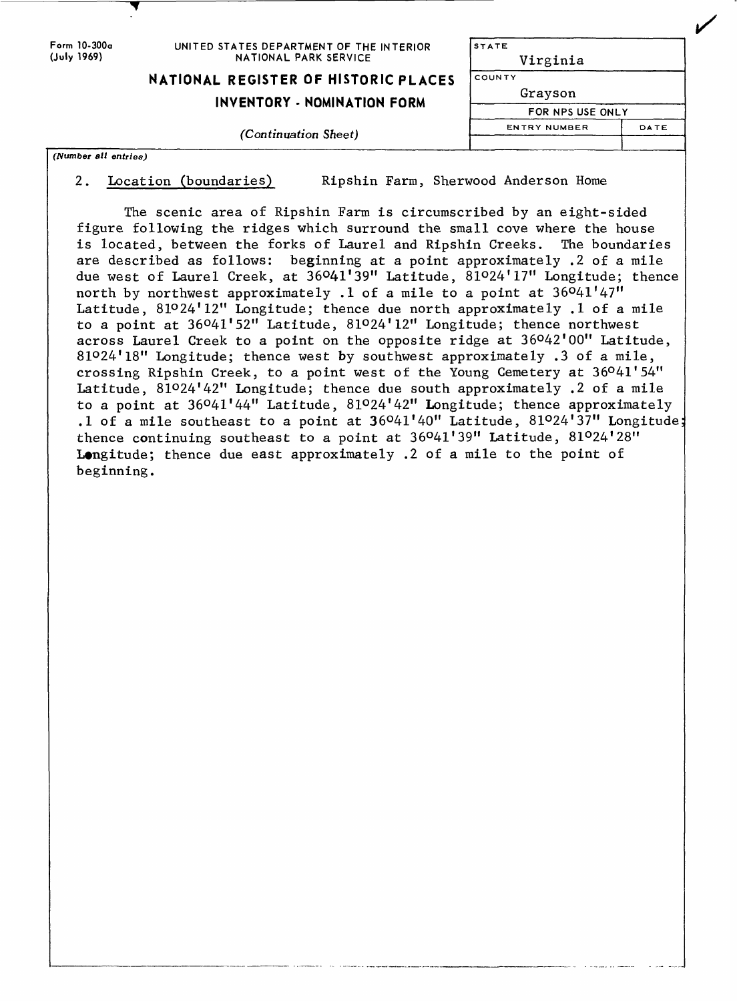| Form 10-300a<br>(July 1969) | UNITED STATES DEPARTMENT OF THE INTERIOR<br>NATIONAL PARK SERVICE          | <b>STATE</b><br>Virginia                     |      |  |  |
|-----------------------------|----------------------------------------------------------------------------|----------------------------------------------|------|--|--|
|                             | NATIONAL REGISTER OF HISTORIC PLACES<br><b>INVENTORY - NOMINATION FORM</b> | <i>COUNTY</i><br>Grayson<br>FOR NPS USE ONLY |      |  |  |
|                             |                                                                            |                                              |      |  |  |
|                             | (Continuation Sheet)                                                       | <b>ENTRY NUMBER</b>                          | DATE |  |  |
| (Number all entries)        |                                                                            |                                              |      |  |  |

2. Location (boundaries) Ripshin Farm, Sherwood Anderson Home

The scenic area of Ripshin Farm is circumscribed by an eight-sided figure following the ridges which surround the small cove where the house<br>is located, between the forks of Laurel and Ripshin Creeks. The boundaries is located, between the forks of Laurel and Ripshin Creeks. are described as follows: beginning at a point approximately .2 of a mile due west of Laurel Creek, at 36°41'39" Latitude, 81°24'17" Longitude; thence north by northwest approximately .1 of a mile to a point at  $36^041'47''$ Latitude, 81°24'12" Longitude; thence due north approximately .1 of a mile to a point at 36°41'52" Latitude, 81O24'12" Longitude; thence northwest across Laurel Creek to a point on the opposite ridge at  $36^042^100^{\prime\prime}$  Latitude, 810 24'18" Longitude; thence west by southwest approximately .3 of a mile, crossing Ripshin Creek, to a point west of the Young Cemetery at 36°41'54" Latitude, 81°24'42" Longitude; thence due south approximately .2 of a mile to a point at 36°41'44" Latitude, 81°24'42" Longitude; thence approximately .1 of a mile southeast to a point at  $36^o41'40''$  Latitude,  $81^o24'37''$  Longitude: thence continuing southeast to a point at  $36^041'39''$  Latitude,  $81^024'28''$ **Longitude;** thence due east approximately .2 of a mile to the point of beginning.